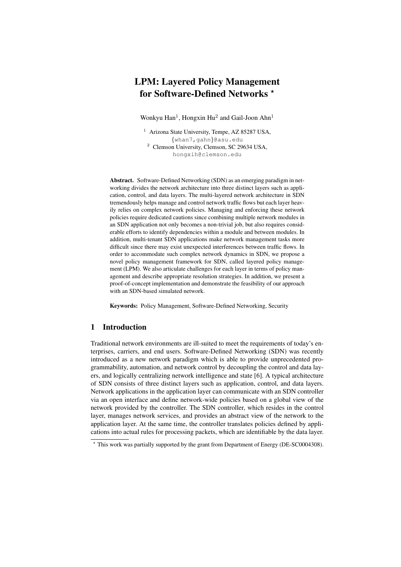# LPM: Layered Policy Management for Software-Defined Networks *<sup>⋆</sup>*

Wonkyu Han<sup>1</sup>, Hongxin Hu<sup>2</sup> and Gail-Joon Ahn<sup>1</sup>

 $1$  Arizona State University, Tempe, AZ 85287 USA, *{*whan7,gahn*}*@asu.edu <sup>2</sup> Clemson University, Clemson, SC 29634 USA, hongxih@clemson.edu

Abstract. Software-Defined Networking (SDN) as an emerging paradigm in networking divides the network architecture into three distinct layers such as application, control, and data layers. The multi-layered network architecture in SDN tremendously helps manage and control network traffic flows but each layer heavily relies on complex network policies. Managing and enforcing these network policies require dedicated cautions since combining multiple network modules in an SDN application not only becomes a non-trivial job, but also requires considerable efforts to identify dependencies within a module and between modules. In addition, multi-tenant SDN applications make network management tasks more difficult since there may exist unexpected interferences between traffic flows. In order to accommodate such complex network dynamics in SDN, we propose a novel policy management framework for SDN, called layered policy management (LPM). We also articulate challenges for each layer in terms of policy management and describe appropriate resolution strategies. In addition, we present a proof-of-concept implementation and demonstrate the feasibility of our approach with an SDN-based simulated network.

Keywords: Policy Management, Software-Defined Networking, Security

# 1 Introduction

Traditional network environments are ill-suited to meet the requirements of today's enterprises, carriers, and end users. Software-Defined Networking (SDN) was recently introduced as a new network paradigm which is able to provide unprecedented programmability, automation, and network control by decoupling the control and data layers, and logically centralizing network intelligence and state [6]. A typical architecture of SDN consists of three distinct layers such as application, control, and data layers. Network applications in the application layer can communicate with an SDN controller via an open interface and define network-wide policies based on a global view of the network provided by the controller. The SDN controller, which resides in the control layer, manages network services, and provides an abstract view of the network to the application layer. At the same time, the controller translates policies defined by applications into actual rules for processing packets, which are identifiable by the data layer.

*<sup>⋆</sup>* This work was partially supported by the grant from Department of Energy (DE-SC0004308).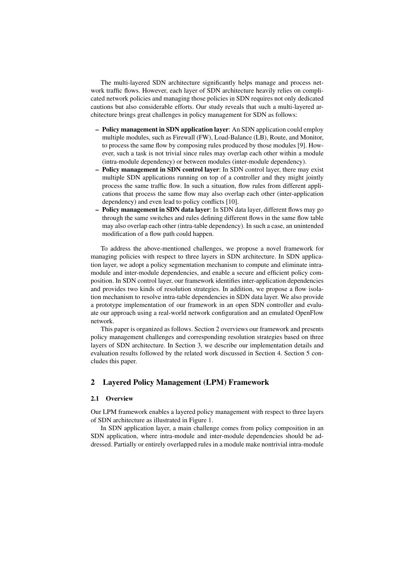The multi-layered SDN architecture significantly helps manage and process network traffic flows. However, each layer of SDN architecture heavily relies on complicated network policies and managing those policies in SDN requires not only dedicated cautions but also considerable efforts. Our study reveals that such a multi-layered architecture brings great challenges in policy management for SDN as follows:

- Policy management in SDN application layer: An SDN application could employ multiple modules, such as Firewall (FW), Load-Balance (LB), Route, and Monitor, to process the same flow by composing rules produced by those modules [9]. However, such a task is not trivial since rules may overlap each other within a module (intra-module dependency) or between modules (inter-module dependency).
- Policy management in SDN control layer: In SDN control layer, there may exist multiple SDN applications running on top of a controller and they might jointly process the same traffic flow. In such a situation, flow rules from different applications that process the same flow may also overlap each other (inter-application dependency) and even lead to policy conflicts [10].
- Policy management in SDN data layer: In SDN data layer, different flows may go through the same switches and rules defining different flows in the same flow table may also overlap each other (intra-table dependency). In such a case, an unintended modification of a flow path could happen.

To address the above-mentioned challenges, we propose a novel framework for managing policies with respect to three layers in SDN architecture. In SDN application layer, we adopt a policy segmentation mechanism to compute and eliminate intramodule and inter-module dependencies, and enable a secure and efficient policy composition. In SDN control layer, our framework identifies inter-application dependencies and provides two kinds of resolution strategies. In addition, we propose a flow isolation mechanism to resolve intra-table dependencies in SDN data layer. We also provide a prototype implementation of our framework in an open SDN controller and evaluate our approach using a real-world network configuration and an emulated OpenFlow network.

This paper is organized as follows. Section 2 overviews our framework and presents policy management challenges and corresponding resolution strategies based on three layers of SDN architecture. In Section 3, we describe our implementation details and evaluation results followed by the related work discussed in Section 4. Section 5 concludes this paper.

## 2 Layered Policy Management (LPM) Framework

#### 2.1 Overview

Our LPM framework enables a layered policy management with respect to three layers of SDN architecture as illustrated in Figure 1.

In SDN application layer, a main challenge comes from policy composition in an SDN application, where intra-module and inter-module dependencies should be addressed. Partially or entirely overlapped rules in a module make nontrivial intra-module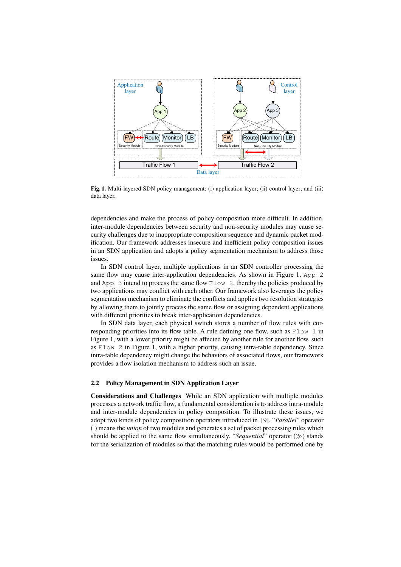

Fig. 1. Multi-layered SDN policy management: (i) application layer; (ii) control layer; and (iii) data layer.

dependencies and make the process of policy composition more difficult. In addition, inter-module dependencies between security and non-security modules may cause security challenges due to inappropriate composition sequence and dynamic packet modification. Our framework addresses insecure and inefficient policy composition issues in an SDN application and adopts a policy segmentation mechanism to address those issues.

In SDN control layer, multiple applications in an SDN controller processing the same flow may cause inter-application dependencies. As shown in Figure 1, App 2 and App 3 intend to process the same flow  $Flow 2$ , thereby the policies produced by two applications may conflict with each other. Our framework also leverages the policy segmentation mechanism to eliminate the conflicts and applies two resolution strategies by allowing them to jointly process the same flow or assigning dependent applications with different priorities to break inter-application dependencies.

In SDN data layer, each physical switch stores a number of flow rules with corresponding priorities into its flow table. A rule defining one flow, such as  $F \text{low} 1$  in Figure 1, with a lower priority might be affected by another rule for another flow, such as Flow 2 in Figure 1, with a higher priority, causing intra-table dependency. Since intra-table dependency might change the behaviors of associated flows, our framework provides a flow isolation mechanism to address such an issue.

#### 2.2 Policy Management in SDN Application Layer

Considerations and Challenges While an SDN application with multiple modules processes a network traffic flow, a fundamental consideration is to address intra-module and inter-module dependencies in policy composition. To illustrate these issues, we adopt two kinds of policy composition operators introduced in [9]. "*Parallel*" operator (*|*) means the *union* of two modules and generates a set of packet processing rules which should be applied to the same flow simultaneously. "*Sequential*" operator (*≫*) stands for the serialization of modules so that the matching rules would be performed one by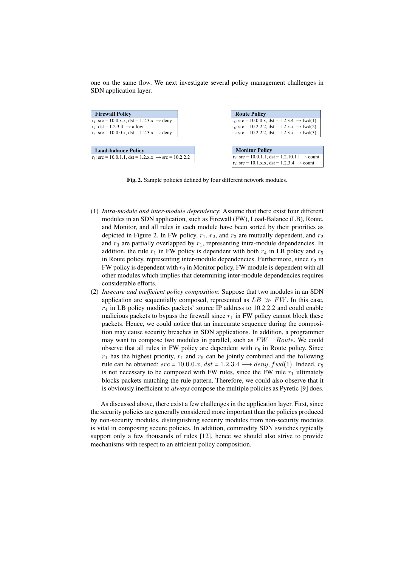one on the same flow. We next investigate several policy management challenges in SDN application layer.

| <b>Firewall Policy</b>                                                   | <b>Route Policy</b>                                          |
|--------------------------------------------------------------------------|--------------------------------------------------------------|
| $ r_1$ : src = 10.0.x.x, dst = 1.2.3.x $\rightarrow$ deny                | $r_5$ : src = 10.0.0.x, dst = 1.2.3.4 $\rightarrow$ fwd(1)   |
| $ r_2$ : dst = 1.2.3.4 $\rightarrow$ allow                               | $r_6$ : src = 10.2.2.2, dst = 1.2.x.x $\rightarrow$ fwd(2)   |
| $r_3$ : src = 10.0.0.x, dst = 1.2.3.x $\rightarrow$ deny                 | $ r_7$ : src = 10.2.2.2, dst = 1.2.3.x $\rightarrow$ fwd(3)  |
|                                                                          |                                                              |
| <b>Load-balance Policy</b>                                               | <b>Monitor Policy</b>                                        |
| $\vert r_4$ : src = 10.0.1.1, dst = 1.2.x,x $\rightarrow$ src = 10.2.2.2 | $ r_8$ : src = 10.0.1.1, dst = 1.2.10.11 $\rightarrow$ count |
|                                                                          | $ r_9$ : src = 10.1.x.x, dst = 1.2.3.4 $\rightarrow$ count   |

Fig. 2. Sample policies defined by four different network modules.

- (1) *Intra-module and inter-module dependency*: Assume that there exist four different modules in an SDN application, such as Firewall (FW), Load-Balance (LB), Route, and Monitor, and all rules in each module have been sorted by their priorities as depicted in Figure 2. In FW policy,  $r_1$ ,  $r_2$ , and  $r_3$  are mutually dependent, and  $r_2$ and  $r_3$  are partially overlapped by  $r_1$ , representing intra-module dependencies. In addition, the rule  $r_1$  in FW policy is dependent with both  $r_4$  in LB policy and  $r_5$ in Route policy, representing inter-module dependencies. Furthermore, since  $r_2$  in FW policy is dependent with *r*<sup>9</sup> in Monitor policy, FW module is dependent with all other modules which implies that determining inter-module dependencies requires considerable efforts.
- (2) *Insecure and inefficient policy composition*: Suppose that two modules in an SDN application are sequentially composed, represented as *LB ≫ FW*. In this case, *r*<sup>4</sup> in LB policy modifies packets' source IP address to 10.2.2.2 and could enable malicious packets to bypass the firewall since  $r_1$  in FW policy cannot block these packets. Hence, we could notice that an inaccurate sequence during the composition may cause security breaches in SDN applications. In addition, a programmer may want to compose two modules in parallel, such as *FW | Route*. We could observe that all rules in FW policy are dependent with  $r<sub>5</sub>$  in Route policy. Since  $r_1$  has the highest priority,  $r_1$  and  $r_5$  can be jointly combined and the following rule can be obtained:  $src = 10.0.0.x$ ,  $dst = 1.2.3.4 \rightarrow deny, fwd(1)$ . Indeed,  $r_5$ is not necessary to be composed with FW rules, since the FW rule  $r_1$  ultimately blocks packets matching the rule pattern. Therefore, we could also observe that it is obviously inefficient to *always* compose the multiple policies as Pyretic [9] does.

As discussed above, there exist a few challenges in the application layer. First, since the security policies are generally considered more important than the policies produced by non-security modules, distinguishing security modules from non-security modules is vital in composing secure policies. In addition, commodity SDN switches typically support only a few thousands of rules [12], hence we should also strive to provide mechanisms with respect to an efficient policy composition.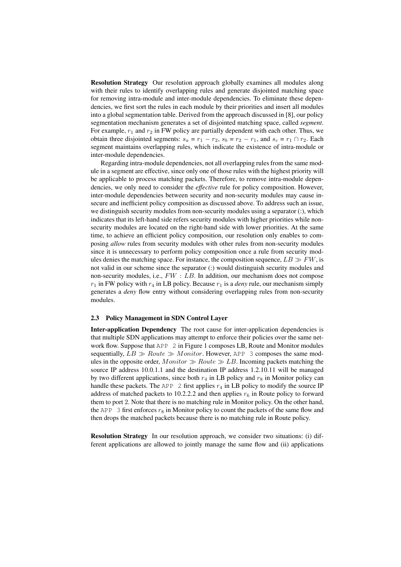Resolution Strategy Our resolution approach globally examines all modules along with their rules to identify overlapping rules and generate disjointed matching space for removing intra-module and inter-module dependencies. To eliminate these dependencies, we first sort the rules in each module by their priorities and insert all modules into a global segmentation table. Derived from the approach discussed in [8], our policy segmentation mechanism generates a set of disjointed matching space, called *segment*. For example,  $r_1$  and  $r_2$  in FW policy are partially dependent with each other. Thus, we obtain three disjointed segments:  $s_a = r_1 - r_2$ ,  $s_b = r_2 - r_1$ , and  $s_c = r_1 \cap r_2$ . Each segment maintains overlapping rules, which indicate the existence of intra-module or inter-module dependencies.

Regarding intra-module dependencies, not all overlapping rules from the same module in a segment are effective, since only one of those rules with the highest priority will be applicable to process matching packets. Therefore, to remove intra-module dependencies, we only need to consider the *effective* rule for policy composition. However, inter-module dependencies between security and non-security modules may cause insecure and inefficient policy composition as discussed above. To address such an issue, we distinguish security modules from non-security modules using a separator (:), which indicates that its left-hand side refers security modules with higher priorities while nonsecurity modules are located on the right-hand side with lower priorities. At the same time, to achieve an efficient policy composition, our resolution only enables to composing *allow* rules from security modules with other rules from non-security modules since it is unnecessary to perform policy composition once a rule from security modules denies the matching space. For instance, the composition sequence,  $LB \gg FW$ , is not valid in our scheme since the separator (:) would distinguish security modules and non-security modules, i.e., *FW* : *LB*. In addition, our mechanism does not compose  $r_1$  in FW policy with  $r_4$  in LB policy. Because  $r_1$  is a *deny* rule, our mechanism simply generates a *deny* flow entry without considering overlapping rules from non-security modules.

#### 2.3 Policy Management in SDN Control Layer

Inter-application Dependency The root cause for inter-application dependencies is that multiple SDN applications may attempt to enforce their policies over the same network flow. Suppose that APP 2 in Figure 1 composes LB, Route and Monitor modules sequentially,  $LB \gg Route \gg Monitor$ . However, APP 3 composes the same modules in the opposite order,  $Monitor \gg Route \gg LB$ . Incoming packets matching the source IP address 10.0.1.1 and the destination IP address 1.2.10.11 will be managed by two different applications, since both  $r_4$  in LB policy and  $r_8$  in Monitor policy can handle these packets. The APP 2 first applies  $r_4$  in LB policy to modify the source IP address of matched packets to 10.2.2.2 and then applies  $r_6$  in Route policy to forward them to port 2. Note that there is no matching rule in Monitor policy. On the other hand, the APP 3 first enforces  $r_8$  in Monitor policy to count the packets of the same flow and then drops the matched packets because there is no matching rule in Route policy.

Resolution Strategy In our resolution approach, we consider two situations: (i) different applications are allowed to jointly manage the same flow and (ii) applications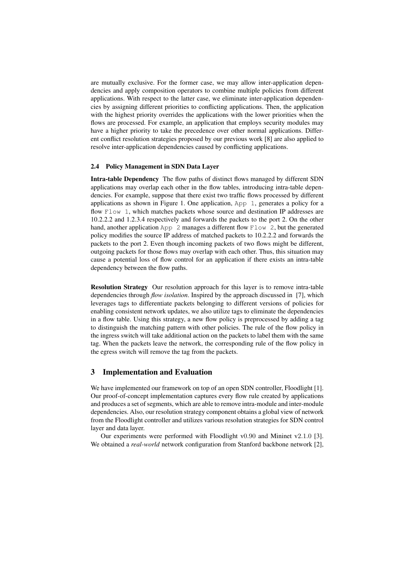are mutually exclusive. For the former case, we may allow inter-application dependencies and apply composition operators to combine multiple policies from different applications. With respect to the latter case, we eliminate inter-application dependencies by assigning different priorities to conflicting applications. Then, the application with the highest priority overrides the applications with the lower priorities when the flows are processed. For example, an application that employs security modules may have a higher priority to take the precedence over other normal applications. Different conflict resolution strategies proposed by our previous work [8] are also applied to resolve inter-application dependencies caused by conflicting applications.

### 2.4 Policy Management in SDN Data Layer

Intra-table Dependency The flow paths of distinct flows managed by different SDN applications may overlap each other in the flow tables, introducing intra-table dependencies. For example, suppose that there exist two traffic flows processed by different applications as shown in Figure 1. One application, App 1, generates a policy for a flow Flow 1, which matches packets whose source and destination IP addresses are 10.2.2.2 and 1.2.3.4 respectively and forwards the packets to the port 2. On the other hand, another application App 2 manages a different flow Flow 2, but the generated policy modifies the source IP address of matched packets to 10.2.2.2 and forwards the packets to the port 2. Even though incoming packets of two flows might be different, outgoing packets for those flows may overlap with each other. Thus, this situation may cause a potential loss of flow control for an application if there exists an intra-table dependency between the flow paths.

Resolution Strategy Our resolution approach for this layer is to remove intra-table dependencies through *flow isolation*. Inspired by the approach discussed in [7], which leverages tags to differentiate packets belonging to different versions of policies for enabling consistent network updates, we also utilize tags to eliminate the dependencies in a flow table. Using this strategy, a new flow policy is preprocessed by adding a tag to distinguish the matching pattern with other policies. The rule of the flow policy in the ingress switch will take additional action on the packets to label them with the same tag. When the packets leave the network, the corresponding rule of the flow policy in the egress switch will remove the tag from the packets.

## 3 Implementation and Evaluation

We have implemented our framework on top of an open SDN controller, Floodlight [1]. Our proof-of-concept implementation captures every flow rule created by applications and produces a set of segments, which are able to remove intra-module and inter-module dependencies. Also, our resolution strategy component obtains a global view of network from the Floodlight controller and utilizes various resolution strategies for SDN control layer and data layer.

Our experiments were performed with Floodlight v0*.*90 and Mininet v2*.*1*.*0 [3]. We obtained a *real-world* network configuration from Stanford backbone network [2],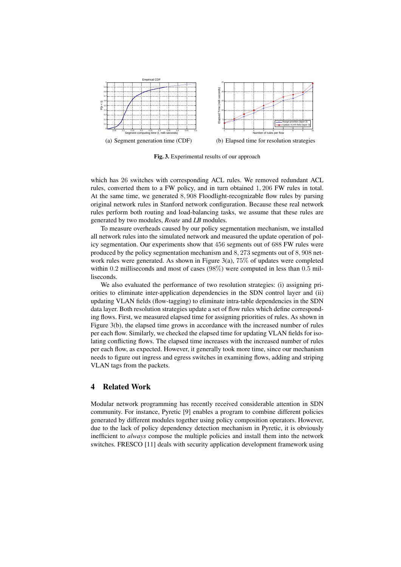

Fig. 3. Experimental results of our approach

which has 26 switches with corresponding ACL rules. We removed redundant ACL rules, converted them to a FW policy, and in turn obtained 1*,* 206 FW rules in total. At the same time, we generated 8*,* 908 Floodlight-recognizable flow rules by parsing original network rules in Stanford network configuration. Because these real network rules perform both routing and load-balancing tasks, we assume that these rules are generated by two modules, *Route* and *LB* modules.

To measure overheads caused by our policy segmentation mechanism, we installed all network rules into the simulated network and measured the update operation of policy segmentation. Our experiments show that 456 segments out of 688 FW rules were produced by the policy segmentation mechanism and 8*,* 273 segments out of 8*,* 908 network rules were generated. As shown in Figure 3(a), 75% of updates were completed within 0*.*2 milliseconds and most of cases (98%) were computed in less than 0*.*5 milliseconds.

We also evaluated the performance of two resolution strategies: (i) assigning priorities to eliminate inter-application dependencies in the SDN control layer and (ii) updating VLAN fields (flow-tagging) to eliminate intra-table dependencies in the SDN data layer. Both resolution strategies update a set of flow rules which define corresponding flows. First, we measured elapsed time for assigning priorities of rules. As shown in Figure 3(b), the elapsed time grows in accordance with the increased number of rules per each flow. Similarly, we checked the elapsed time for updating VLAN fields for isolating conflicting flows. The elapsed time increases with the increased number of rules per each flow, as expected. However, it generally took more time, since our mechanism needs to figure out ingress and egress switches in examining flows, adding and striping VLAN tags from the packets.

# 4 Related Work

Modular network programming has recently received considerable attention in SDN community. For instance, Pyretic [9] enables a program to combine different policies generated by different modules together using policy composition operators. However, due to the lack of policy dependency detection mechanism in Pyretic, it is obviously inefficient to *always* compose the multiple policies and install them into the network switches. FRESCO [11] deals with security application development framework using